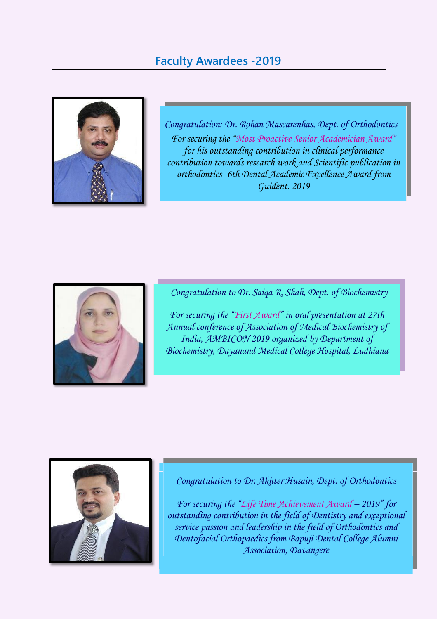

*Congratulation: Dr. Rohan Mascarenhas, Dept. of Orthodontics For securing the "Most Proactive Senior Academician Award" for his outstanding contribution in clinical performance contribution towards research work and Scientific publication in orthodontics- 6th Dental Academic Excellence Award from Guident. 2019*



*Congratulation to Dr. Saiqa R. Shah, Dept. of Biochemistry*

*For securing the "First Award" in oral presentation at 27th Annual conference of Association of Medical Biochemistry of India, AMBICON 2019 organized by Department of Biochemistry, Dayanand Medical College Hospital, Ludhiana*



*Congratulation to Dr. Akhter Husain, Dept. of Orthodontics*

*For securing the "Life Time Achievement Award – 2019" for outstanding contribution in the field of Dentistry and exceptional service passion and leadership in the field of Orthodontics and Dentofacial Orthopaedics from Bapuji Dental College Alumni Association, Davangere*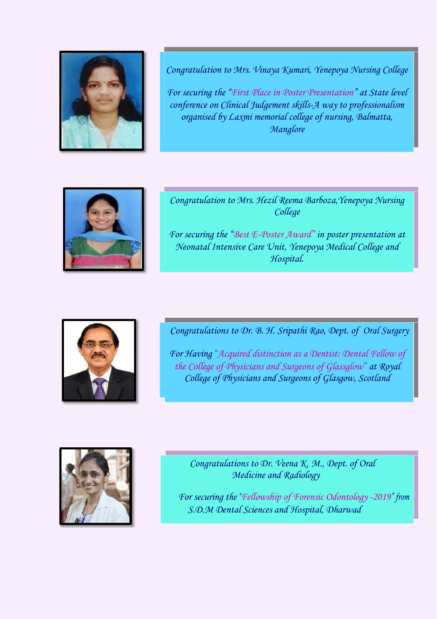

*Congratulation to Mrs. Vinaya Kumari, Yenepoya Nursing College*

*For securing the "First Place in Poster Presentation" at State level conference on Clinical Judgement skills-A way to professionalism organised by Laxmi memorial college of nursing, Balmatta, Manglore*



*Congratulation to Mrs. Hezil Reema Barboza,Yenepoya Nursing College*

*For securing the "Best E-Poster Award" in poster presentation at Neonatal Intensive Care Unit, Yenepoya Medical College and Hospital.*



*Congratulations to Dr. B. H. Sripathi Rao, Dept. of Oral Surgery*

*For Having "Acquired distinction as a Dentist: Dental Fellow of the College of Physicians and Surgeons of Glassglow" at Royal College of Physicians and Surgeons of Glasgow, Scotland*



 *Congratulations to Dr. Veena K. M., Dept. of Oral Medicine and Radiology*

*For securing the "Fellowship of Forensic Odontology -2019" from S.D.M Dental Sciences and Hospital, Dharwad*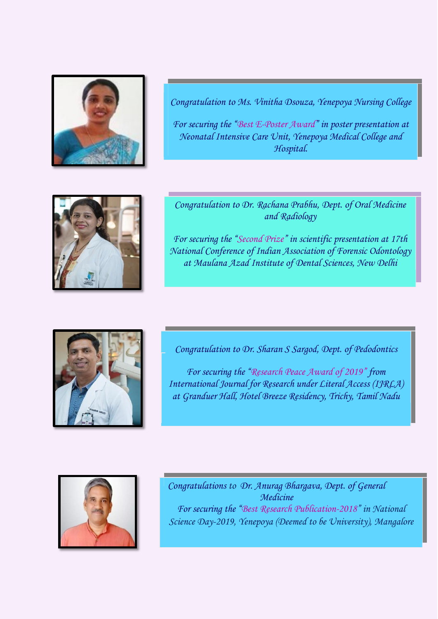

*Congratulation to Ms. Vinitha Dsouza, Yenepoya Nursing College*

*For securing the "Best E-Poster Award" in poster presentation at Neonatal Intensive Care Unit, Yenepoya Medical College and Hospital.*



*Congratulation to Dr. Rachana Prabhu, Dept. of Oral Medicine and Radiology*

*For securing the "Second Prize" in scientific presentation at 17th National Conference of Indian Association of Forensic Odontology at Maulana Azad Institute of Dental Sciences, New Delhi*



*Congratulation to Dr. Sharan S Sargod, Dept. of Pedodontics*

*Medicine For securing the "Research Peace Award of 2019" from International Journal for Research under Literal Access (IJRLA) Day-2019, Yenepoya (Deemed to be University), Mangalore at Granduer Hall, Hotel Breeze Residency, Trichy, Tamil Nadu*



*Congratulations to Dr. Anurag Bhargava, Dept. of General Medicine For securing the "Best Research Publication-2018" in National Science Day-2019, Yenepoya (Deemed to be University), Mangalore*